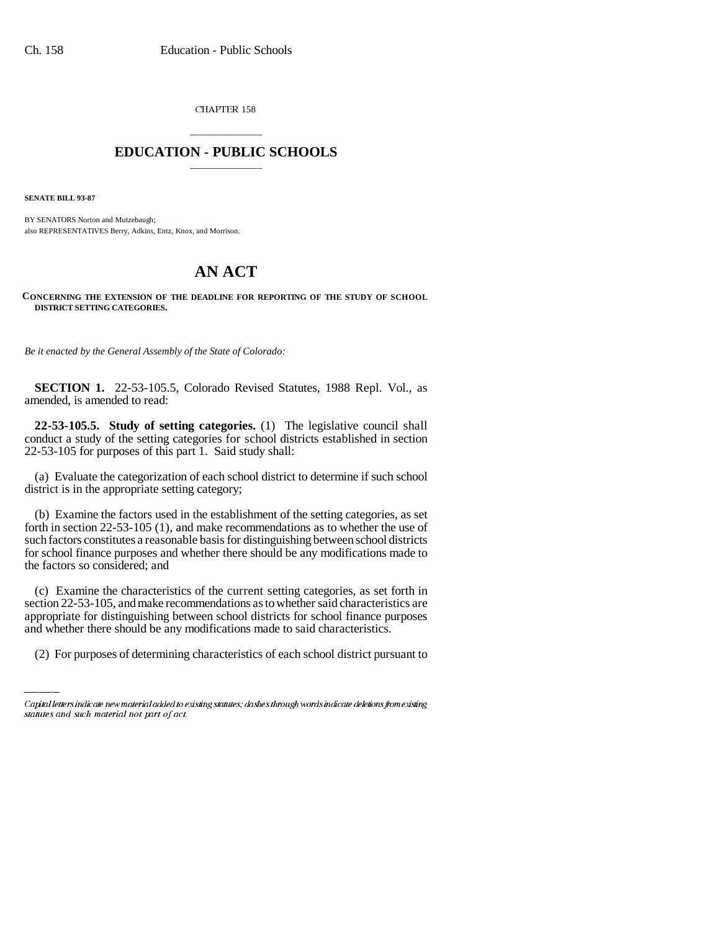CHAPTER 158

## \_\_\_\_\_\_\_\_\_\_\_\_\_\_\_ **EDUCATION - PUBLIC SCHOOLS** \_\_\_\_\_\_\_\_\_\_\_\_\_\_\_

**SENATE BILL 93-87**

BY SENATORS Norton and Mutzebaugh; also REPRESENTATIVES Berry, Adkins, Entz, Knox, and Morrison.

## **AN ACT**

**CONCERNING THE EXTENSION OF THE DEADLINE FOR REPORTING OF THE STUDY OF SCHOOL DISTRICT SETTING CATEGORIES.**

*Be it enacted by the General Assembly of the State of Colorado:*

**SECTION 1.** 22-53-105.5, Colorado Revised Statutes, 1988 Repl. Vol., as amended, is amended to read:

**22-53-105.5. Study of setting categories.** (1) The legislative council shall conduct a study of the setting categories for school districts established in section 22-53-105 for purposes of this part 1. Said study shall:

(a) Evaluate the categorization of each school district to determine if such school district is in the appropriate setting category;

(b) Examine the factors used in the establishment of the setting categories, as set forth in section 22-53-105 (1), and make recommendations as to whether the use of such factors constitutes a reasonable basis for distinguishing between school districts for school finance purposes and whether there should be any modifications made to the factors so considered; and

section 22-53-105, and make recommendations as to whether said characteristics are (c) Examine the characteristics of the current setting categories, as set forth in appropriate for distinguishing between school districts for school finance purposes and whether there should be any modifications made to said characteristics.

(2) For purposes of determining characteristics of each school district pursuant to

Capital letters indicate new material added to existing statutes; dashes through words indicate deletions from existing statutes and such material not part of act.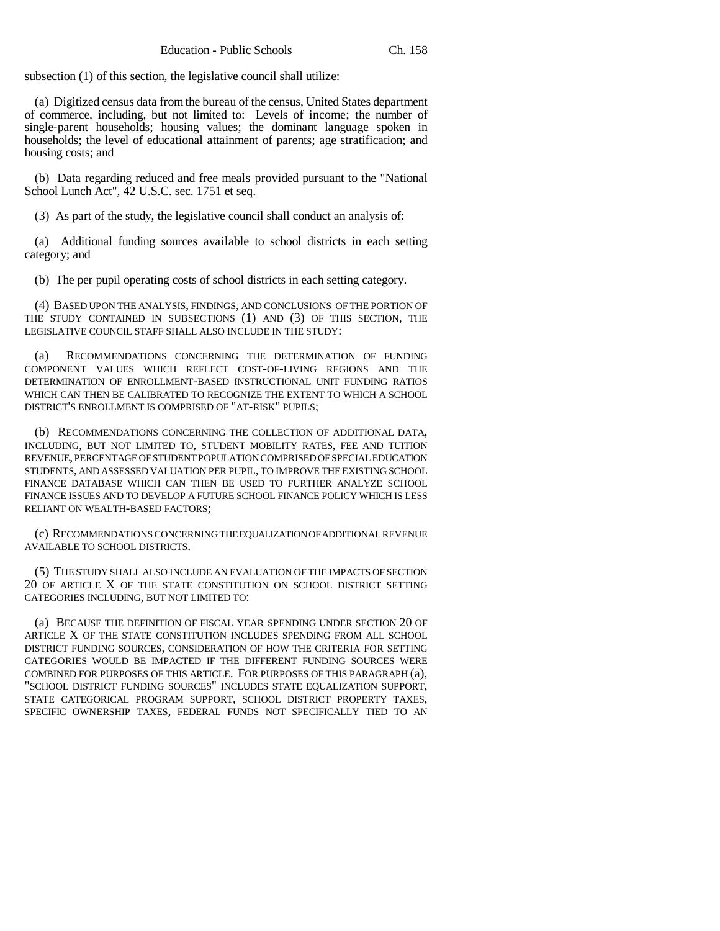subsection (1) of this section, the legislative council shall utilize:

(a) Digitized census data from the bureau of the census, United States department of commerce, including, but not limited to: Levels of income; the number of single-parent households; housing values; the dominant language spoken in households; the level of educational attainment of parents; age stratification; and housing costs; and

(b) Data regarding reduced and free meals provided pursuant to the "National School Lunch Act", 42 U.S.C. sec. 1751 et seq.

(3) As part of the study, the legislative council shall conduct an analysis of:

(a) Additional funding sources available to school districts in each setting category; and

(b) The per pupil operating costs of school districts in each setting category.

(4) BASED UPON THE ANALYSIS, FINDINGS, AND CONCLUSIONS OF THE PORTION OF THE STUDY CONTAINED IN SUBSECTIONS (1) AND (3) OF THIS SECTION, THE LEGISLATIVE COUNCIL STAFF SHALL ALSO INCLUDE IN THE STUDY:

(a) RECOMMENDATIONS CONCERNING THE DETERMINATION OF FUNDING COMPONENT VALUES WHICH REFLECT COST-OF-LIVING REGIONS AND THE DETERMINATION OF ENROLLMENT-BASED INSTRUCTIONAL UNIT FUNDING RATIOS WHICH CAN THEN BE CALIBRATED TO RECOGNIZE THE EXTENT TO WHICH A SCHOOL DISTRICT'S ENROLLMENT IS COMPRISED OF "AT-RISK" PUPILS;

(b) RECOMMENDATIONS CONCERNING THE COLLECTION OF ADDITIONAL DATA, INCLUDING, BUT NOT LIMITED TO, STUDENT MOBILITY RATES, FEE AND TUITION REVENUE, PERCENTAGE OF STUDENT POPULATION COMPRISED OF SPECIAL EDUCATION STUDENTS, AND ASSESSED VALUATION PER PUPIL, TO IMPROVE THE EXISTING SCHOOL FINANCE DATABASE WHICH CAN THEN BE USED TO FURTHER ANALYZE SCHOOL FINANCE ISSUES AND TO DEVELOP A FUTURE SCHOOL FINANCE POLICY WHICH IS LESS RELIANT ON WEALTH-BASED FACTORS;

(c) RECOMMENDATIONS CONCERNING THE EQUALIZATION OF ADDITIONAL REVENUE AVAILABLE TO SCHOOL DISTRICTS.

(5) THE STUDY SHALL ALSO INCLUDE AN EVALUATION OF THE IMPACTS OF SECTION 20 OF ARTICLE X OF THE STATE CONSTITUTION ON SCHOOL DISTRICT SETTING CATEGORIES INCLUDING, BUT NOT LIMITED TO:

(a) BECAUSE THE DEFINITION OF FISCAL YEAR SPENDING UNDER SECTION 20 OF ARTICLE X OF THE STATE CONSTITUTION INCLUDES SPENDING FROM ALL SCHOOL DISTRICT FUNDING SOURCES, CONSIDERATION OF HOW THE CRITERIA FOR SETTING CATEGORIES WOULD BE IMPACTED IF THE DIFFERENT FUNDING SOURCES WERE COMBINED FOR PURPOSES OF THIS ARTICLE. FOR PURPOSES OF THIS PARAGRAPH (a), "SCHOOL DISTRICT FUNDING SOURCES" INCLUDES STATE EQUALIZATION SUPPORT, STATE CATEGORICAL PROGRAM SUPPORT, SCHOOL DISTRICT PROPERTY TAXES, SPECIFIC OWNERSHIP TAXES, FEDERAL FUNDS NOT SPECIFICALLY TIED TO AN